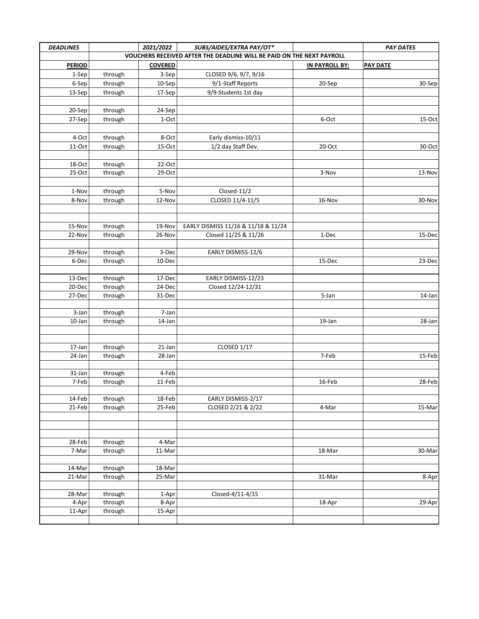| <b>DEADLINES</b> | 2021/2022<br>SUBS/AIDES/EXTRA PAY/OT*<br>VOUCHERS RECEIVED AFTER THE DEADLINE WILL BE PAID ON THE NEXT PAYROLL |                 |                                     |                | <b>PAY DATES</b> |
|------------------|----------------------------------------------------------------------------------------------------------------|-----------------|-------------------------------------|----------------|------------------|
| <b>PERIOD</b>    |                                                                                                                | <b>COVERED</b>  |                                     | IN PAYROLL BY: | <b>PAY DATE</b>  |
| 1-Sep            | through                                                                                                        | 3-Sep           | CLOSED 9/6, 9/7, 9/16               |                |                  |
| 6-Sep            | through                                                                                                        | 10-Sep          | 9/1-Staff Reports                   | 20-Sep         | 30-Sep           |
| 13-Sep           | through                                                                                                        | 17-Sep          | 9/9-Students 1st day                |                |                  |
|                  |                                                                                                                |                 |                                     |                |                  |
| 20-Sep           | through                                                                                                        | 24-Sep          |                                     |                |                  |
| 27-Sep           | through                                                                                                        | 1-Oct           |                                     | 6-Oct          | 15-Oct           |
|                  |                                                                                                                |                 |                                     |                |                  |
| 4-Oct            | through                                                                                                        | 8-Oct           | Early dismiss-10/11                 |                |                  |
| 11-Oct           | through                                                                                                        | 15-Oct          | 1/2 day Staff Dev.                  | 20-Oct         | 30-Oct           |
|                  |                                                                                                                |                 |                                     |                |                  |
| 18-Oct           | through                                                                                                        | 22-Oct          |                                     |                |                  |
| 25-Oct           | through                                                                                                        | 29-Oct          |                                     | 3-Nov          | 13-Nov           |
|                  |                                                                                                                |                 |                                     |                |                  |
| 1-Nov            | through                                                                                                        | 5-Nov           | Closed-11/2                         |                |                  |
| 8-Nov            | through                                                                                                        | 12-Nov          | CLOSED 11/4-11/5                    | 16-Nov         | 30-Nov           |
|                  |                                                                                                                |                 |                                     |                |                  |
|                  |                                                                                                                |                 |                                     |                |                  |
| 15-Nov           | through                                                                                                        | 19-Nov          | EARLY DISMISS 11/16 & 11/18 & 11/24 |                |                  |
| 22-Nov           | through                                                                                                        | 26-Nov          | Closed 11/25 & 11/26                | 1-Dec          | 15-Dec           |
|                  |                                                                                                                |                 |                                     |                |                  |
| 29-Nov<br>6-Dec  | through<br>through                                                                                             | 3-Dec<br>10-Dec | EARLY DISMISS-12/6                  | 15-Dec         | 23-Dec           |
|                  |                                                                                                                |                 |                                     |                |                  |
| 13-Dec           | through                                                                                                        | 17-Dec          | EARLY DISMISS-12/23                 |                |                  |
| 20-Dec           | through                                                                                                        | 24-Dec          | Closed 12/24-12/31                  |                |                  |
| 27-Dec           | through                                                                                                        | 31-Dec          |                                     | 5-Jan          | 14-Jan           |
|                  |                                                                                                                |                 |                                     |                |                  |
| 3-Jan            | through                                                                                                        | 7-Jan           |                                     |                |                  |
| 10-Jan           | through                                                                                                        | 14-Jan          |                                     | 19-Jan         | 28-Jan           |
|                  |                                                                                                                |                 |                                     |                |                  |
|                  |                                                                                                                |                 |                                     |                |                  |
| 17-Jan           | through                                                                                                        | 21-Jan          | CLOSED 1/17                         |                |                  |
| 24-Jan           | through                                                                                                        | 28-Jan          |                                     | 7-Feb          | 15-Feb           |
| 31-Jan           |                                                                                                                | 4-Feb           |                                     |                |                  |
| 7-Feb            | through<br>through                                                                                             | 11-Feb          |                                     | 16-Feb         | 28-Feb           |
|                  |                                                                                                                |                 |                                     |                |                  |
| 14-Feb           | through                                                                                                        | 18-Feb          | EARLY DISMISS-2/17                  |                |                  |
| 21-Feb           | through                                                                                                        | 25-Feb          | CLOSED 2/21 & 2/22                  | 4-Mar          | 15-Mar           |
|                  |                                                                                                                |                 |                                     |                |                  |
|                  |                                                                                                                |                 |                                     |                |                  |
|                  |                                                                                                                |                 |                                     |                |                  |
| 28-Feb           | through                                                                                                        | 4-Mar           |                                     |                |                  |
| 7-Mar            | through                                                                                                        | 11-Mar          |                                     | 18-Mar         | 30-Mar           |
|                  |                                                                                                                |                 |                                     |                |                  |
| 14-Mar           | through                                                                                                        | 18-Mar          |                                     |                |                  |
| 21-Mar           | through                                                                                                        | 25-Mar          |                                     | 31-Mar         | 8-Apr            |
| 28-Mar           | through                                                                                                        | 1-Apr           | Closed-4/11-4/15                    |                |                  |
| 4-Apr            | through                                                                                                        | 8-Apr           |                                     | 18-Apr         | 29-Apr           |
| 11-Apr           | through                                                                                                        | 15-Apr          |                                     |                |                  |
|                  |                                                                                                                |                 |                                     |                |                  |